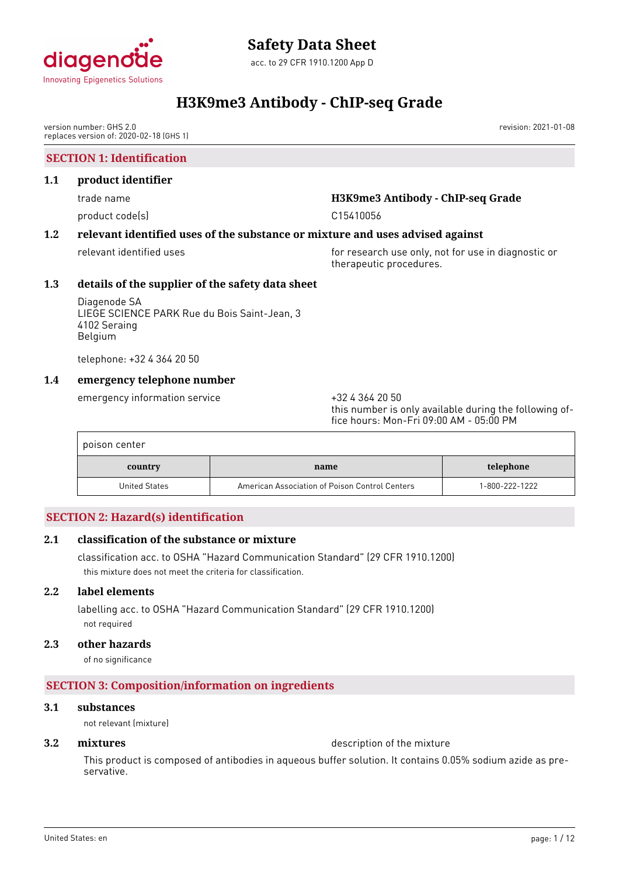

version number: GHS 2.0 replaces version of: 2020-02-18 (GHS 1)

# **SECTION 1: Identification**

| 1.1 | product identifier |                                   |
|-----|--------------------|-----------------------------------|
|     | trade name         | H3K9me3 Antibody - ChIP-seq Grade |

product code(s) and control control control control control control control control control control control co

# **1.2 relevant identified uses of the substance or mixture and uses advised against**

relevant identified uses for research use only, not for use in diagnostic or therapeutic procedures.

revision: 2021-01-08

### **1.3 details of the supplier of the safety data sheet**

Diagenode SA LIEGE SCIENCE PARK Rue du Bois Saint-Jean, 3 4102 Seraing Belgium

telephone: +32 4 364 20 50

### **1.4 emergency telephone number**

emergency information service +32 4 364 20 50

this number is only available during the following office hours: Mon-Fri 09:00 AM - 05:00 PM

| poison center        |                                                |                |
|----------------------|------------------------------------------------|----------------|
| country              | name                                           | telephone      |
| <b>United States</b> | American Association of Poison Control Centers | 1-800-222-1222 |

# **SECTION 2: Hazard(s) identification**

### **2.1 classification of the substance or mixture**

classification acc. to OSHA "Hazard Communication Standard" (29 CFR 1910.1200) this mixture does not meet the criteria for classification.

### **2.2 label elements**

labelling acc. to OSHA "Hazard Communication Standard" (29 CFR 1910.1200) not required

### **2.3 other hazards**

of no significance

# **SECTION 3: Composition/information on ingredients**

# **3.1 substances**

not relevant (mixture)

**3.2 mixtures** description of the mixture

This product is composed of antibodies in aqueous buffer solution. It contains 0.05% sodium azide as preservative.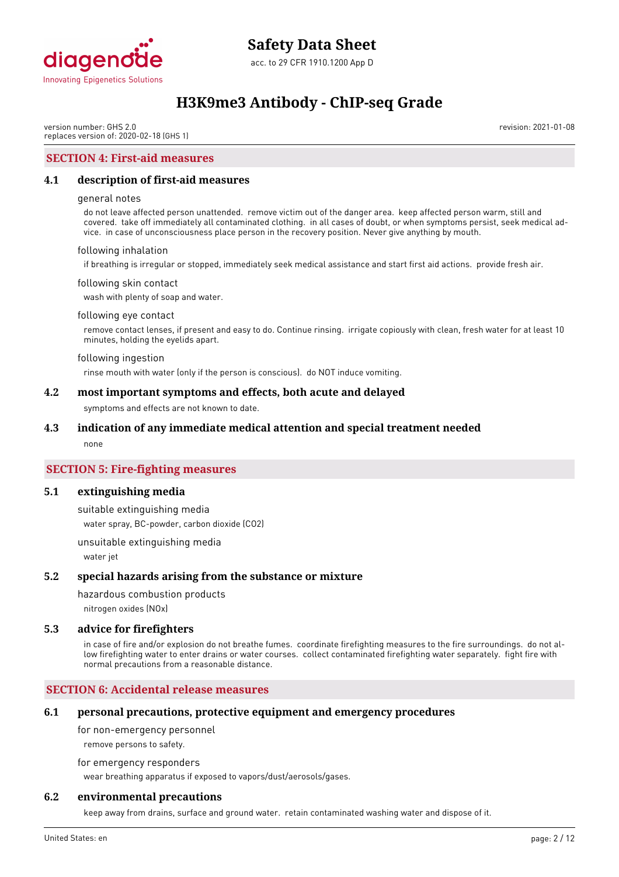

revision: 2021-01-08

version number: GHS 2.0 replaces version of: 2020-02-18 (GHS 1)

#### **SECTION 4: First-aid measures**

#### **4.1 description of first-aid measures**

#### general notes

do not leave affected person unattended. remove victim out of the danger area. keep affected person warm, still and covered. take off immediately all contaminated clothing. in all cases of doubt, or when symptoms persist, seek medical advice. in case of unconsciousness place person in the recovery position. Never give anything by mouth.

#### following inhalation

if breathing is irregular or stopped, immediately seek medical assistance and start first aid actions. provide fresh air.

#### following skin contact

wash with plenty of soap and water.

#### following eye contact

remove contact lenses, if present and easy to do. Continue rinsing. irrigate copiously with clean, fresh water for at least 10 minutes, holding the eyelids apart.

#### following ingestion

rinse mouth with water (only if the person is conscious). do NOT induce vomiting.

#### **4.2 most important symptoms and effects, both acute and delayed**

symptoms and effects are not known to date.

### **4.3 indication of any immediate medical attention and special treatment needed**

none

#### **SECTION 5: Fire-fighting measures**

#### **5.1 extinguishing media**

suitable extinguishing media water spray, BC-powder, carbon dioxide (CO2)

unsuitable extinguishing media

water jet

#### **5.2 special hazards arising from the substance or mixture**

hazardous combustion products nitrogen oxides (NOx)

#### **5.3 advice for firefighters**

in case of fire and/or explosion do not breathe fumes. coordinate firefighting measures to the fire surroundings. do not allow firefighting water to enter drains or water courses. collect contaminated firefighting water separately. fight fire with normal precautions from a reasonable distance.

#### **SECTION 6: Accidental release measures**

#### **6.1 personal precautions, protective equipment and emergency procedures**

for non-emergency personnel

remove persons to safety.

for emergency responders

wear breathing apparatus if exposed to vapors/dust/aerosols/gases.

#### **6.2 environmental precautions**

keep away from drains, surface and ground water. retain contaminated washing water and dispose of it.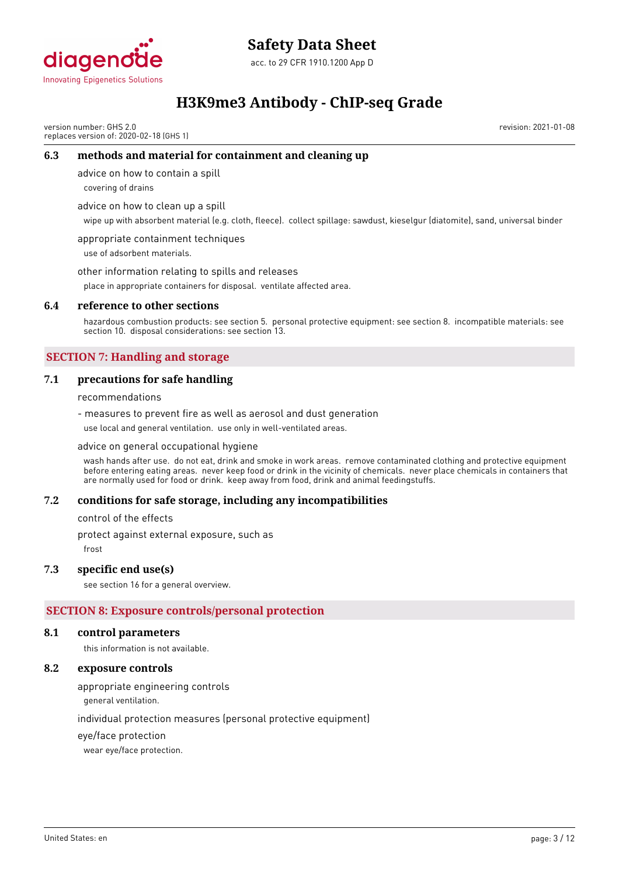

acc. to 29 CFR 1910.1200 App D

# **H3K9me3 Antibody - ChIP-seq Grade**

version number: GHS 2.0 replaces version of: 2020-02-18 (GHS 1) revision: 2021-01-08

# **6.3 methods and material for containment and cleaning up**

advice on how to contain a spill

covering of drains

# advice on how to clean up a spill

wipe up with absorbent material (e.g. cloth, fleece). collect spillage: sawdust, kieselgur (diatomite), sand, universal binder

# appropriate containment techniques

use of adsorbent materials.

# other information relating to spills and releases

place in appropriate containers for disposal. ventilate affected area.

# **6.4 reference to other sections**

hazardous combustion products: see section 5. personal protective equipment: see section 8. incompatible materials: see section 10. disposal considerations: see section 13.

# **SECTION 7: Handling and storage**

# **7.1 precautions for safe handling**

#### recommendations

- measures to prevent fire as well as aerosol and dust generation

use local and general ventilation. use only in well-ventilated areas.

#### advice on general occupational hygiene

wash hands after use. do not eat, drink and smoke in work areas. remove contaminated clothing and protective equipment before entering eating areas. never keep food or drink in the vicinity of chemicals. never place chemicals in containers that are normally used for food or drink. keep away from food, drink and animal feedingstuffs.

### **7.2 conditions for safe storage, including any incompatibilities**

control of the effects

protect against external exposure, such as frost

### **7.3 specific end use(s)**

see section 16 for a general overview.

### **SECTION 8: Exposure controls/personal protection**

#### **8.1 control parameters**

this information is not available.

# **8.2 exposure controls**

appropriate engineering controls

general ventilation.

individual protection measures (personal protective equipment)

#### eye/face protection

wear eye/face protection.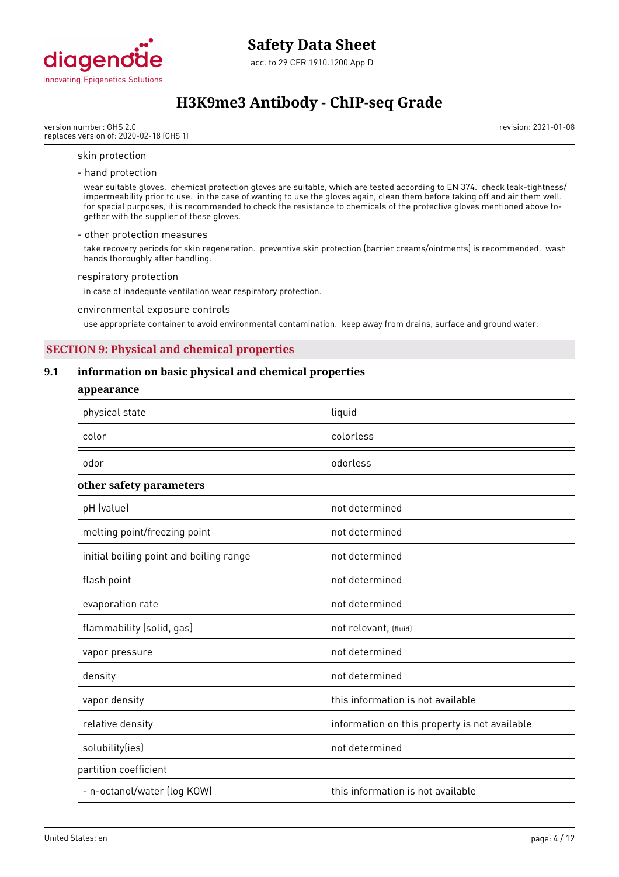

version number: GHS 2.0 replaces version of: 2020-02-18 (GHS 1) revision: 2021-01-08

skin protection

#### - hand protection

wear suitable gloves. chemical protection gloves are suitable, which are tested according to EN 374. check leak-tightness/ impermeability prior to use. in the case of wanting to use the gloves again, clean them before taking off and air them well. for special purposes, it is recommended to check the resistance to chemicals of the protective gloves mentioned above together with the supplier of these gloves.

#### - other protection measures

take recovery periods for skin regeneration. preventive skin protection (barrier creams/ointments) is recommended. wash hands thoroughly after handling.

#### respiratory protection

in case of inadequate ventilation wear respiratory protection.

#### environmental exposure controls

use appropriate container to avoid environmental contamination. keep away from drains, surface and ground water.

### **SECTION 9: Physical and chemical properties**

### **9.1 information on basic physical and chemical properties**

#### **appearance**

| physical state | liquid    |
|----------------|-----------|
| color          | colorless |
| odor           | odorless  |

#### **other safety parameters**

| pH (value)                              | not determined                                |
|-----------------------------------------|-----------------------------------------------|
| melting point/freezing point            | not determined                                |
| initial boiling point and boiling range | not determined                                |
| flash point                             | not determined                                |
| evaporation rate                        | not determined                                |
| flammability (solid, gas)               | not relevant, (fluid)                         |
| vapor pressure                          | not determined                                |
| density                                 | not determined                                |
| vapor density                           | this information is not available             |
| relative density                        | information on this property is not available |
| solubility(ies)                         | not determined                                |
| partition coefficient                   |                                               |
| - n-octanol/water (log KOW)             | this information is not available             |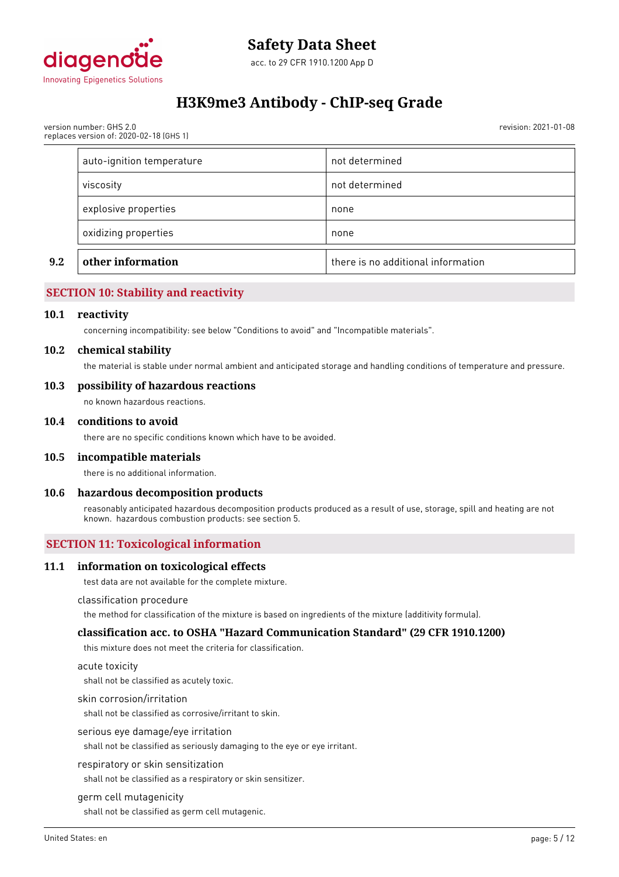

acc. to 29 CFR 1910.1200 App D

# **H3K9me3 Antibody - ChIP-seq Grade**

version number: GHS 2.0 replaces version of: 2020-02-18 (GHS 1) revision: 2021-01-08

|     | auto-ignition temperature | not determined                     |
|-----|---------------------------|------------------------------------|
|     | viscosity                 | not determined                     |
|     | explosive properties      | none                               |
|     | oxidizing properties      | none                               |
| 9.2 | other information         | there is no additional information |

### **SECTION 10: Stability and reactivity**

#### **10.1 reactivity**

concerning incompatibility: see below "Conditions to avoid" and "Incompatible materials".

#### **10.2 chemical stability**

the material is stable under normal ambient and anticipated storage and handling conditions of temperature and pressure.

#### **10.3 possibility of hazardous reactions**

no known hazardous reactions.

#### **10.4 conditions to avoid**

there are no specific conditions known which have to be avoided.

#### **10.5 incompatible materials**

there is no additional information.

#### **10.6 hazardous decomposition products**

reasonably anticipated hazardous decomposition products produced as a result of use, storage, spill and heating are not known. hazardous combustion products: see section 5.

### **SECTION 11: Toxicological information**

### **11.1 information on toxicological effects**

test data are not available for the complete mixture.

#### classification procedure

the method for classification of the mixture is based on ingredients of the mixture (additivity formula).

#### **classification acc. to OSHA "Hazard Communication Standard" (29 CFR 1910.1200)**

this mixture does not meet the criteria for classification.

acute toxicity

shall not be classified as acutely toxic.

skin corrosion/irritation

shall not be classified as corrosive/irritant to skin.

serious eye damage/eye irritation

shall not be classified as seriously damaging to the eye or eye irritant.

#### respiratory or skin sensitization

shall not be classified as a respiratory or skin sensitizer.

#### germ cell mutagenicity

shall not be classified as germ cell mutagenic.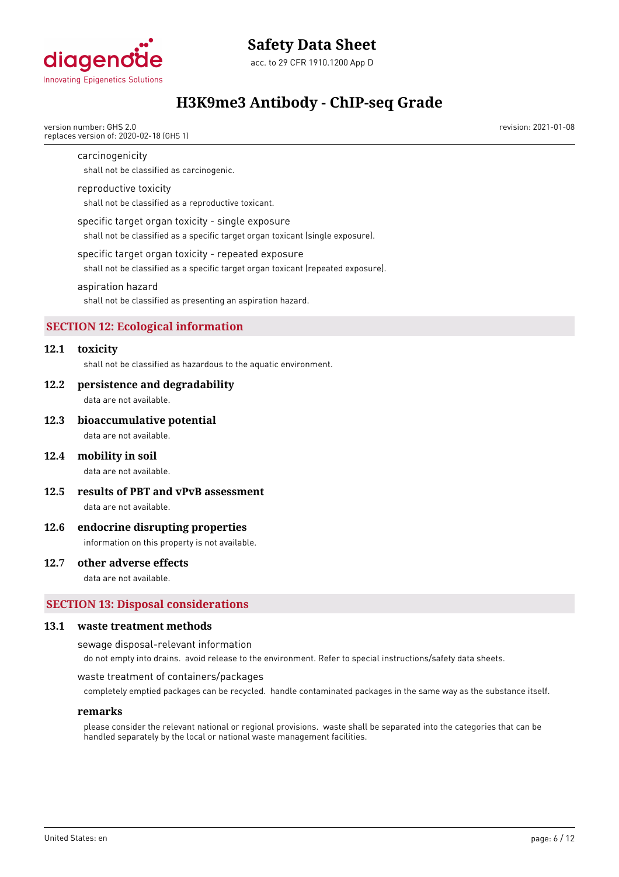

acc. to 29 CFR 1910.1200 App D



# **H3K9me3 Antibody - ChIP-seq Grade**

version number: GHS 2.0 replaces version of: 2020-02-18 (GHS 1) revision: 2021-01-08

carcinogenicity

shall not be classified as carcinogenic.

reproductive toxicity

shall not be classified as a reproductive toxicant.

specific target organ toxicity - single exposure shall not be classified as a specific target organ toxicant (single exposure).

specific target organ toxicity - repeated exposure shall not be classified as a specific target organ toxicant (repeated exposure).

#### aspiration hazard

shall not be classified as presenting an aspiration hazard.

### **SECTION 12: Ecological information**

#### **12.1 toxicity**

shall not be classified as hazardous to the aquatic environment.

# **12.2 persistence and degradability**

data are not available.

#### **12.3 bioaccumulative potential**

data are not available.

**12.4 mobility in soil**

data are not available.

**12.5 results of PBT and vPvB assessment** data are not available.

# **12.6 endocrine disrupting properties**

information on this property is not available.

#### **12.7 other adverse effects**

data are not available.

### **SECTION 13: Disposal considerations**

#### **13.1 waste treatment methods**

sewage disposal-relevant information

do not empty into drains. avoid release to the environment. Refer to special instructions/safety data sheets.

waste treatment of containers/packages

completely emptied packages can be recycled. handle contaminated packages in the same way as the substance itself.

#### **remarks**

please consider the relevant national or regional provisions. waste shall be separated into the categories that can be handled separately by the local or national waste management facilities.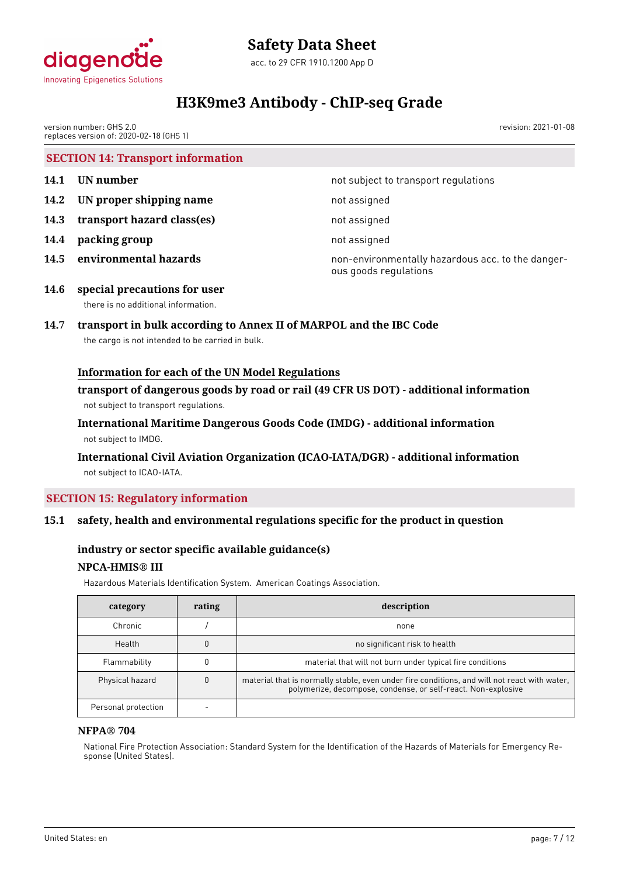

version number: GHS 2.0 replaces version of: 2020-02-18 (GHS 1) revision: 2021-01-08

### **SECTION 14: Transport information**

- 
- **14.2 IN proper shipping name** not assigned
- **14.3 transport hazard class(es)** not assigned
- **14.4 packing group** not assigned
- 

**14.1 UN number 14.1 UN number not subject to transport regulations** 

**14.5 environmental hazards non-environmentally hazardous acc. to the danger**ous goods regulations

**14.6 special precautions for user** there is no additional information.

### **14.7 transport in bulk according to Annex II of MARPOL and the IBC Code** the cargo is not intended to be carried in bulk.

# **Information for each of the UN Model Regulations**

**transport of dangerous goods by road or rail (49 CFR US DOT) - additional information** not subject to transport regulations.

# **International Maritime Dangerous Goods Code (IMDG) - additional information** not subject to IMDG.

# **International Civil Aviation Organization (ICAO-IATA/DGR) - additional information** not subject to ICAO-IATA.

### **SECTION 15: Regulatory information**

### **15.1 safety, health and environmental regulations specific for the product in question**

# **industry or sector specific available guidance(s)**

### **NPCA-HMIS® III**

Hazardous Materials Identification System. American Coatings Association.

| category            | rating | description                                                                                                                                                   |
|---------------------|--------|---------------------------------------------------------------------------------------------------------------------------------------------------------------|
| Chronic             |        | none                                                                                                                                                          |
| Health              |        | no significant risk to health                                                                                                                                 |
| Flammability        |        | material that will not burn under typical fire conditions                                                                                                     |
| Physical hazard     |        | material that is normally stable, even under fire conditions, and will not react with water,<br>polymerize, decompose, condense, or self-react. Non-explosive |
| Personal protection |        |                                                                                                                                                               |

#### **NFPA® 704**

National Fire Protection Association: Standard System for the Identification of the Hazards of Materials for Emergency Response (United States).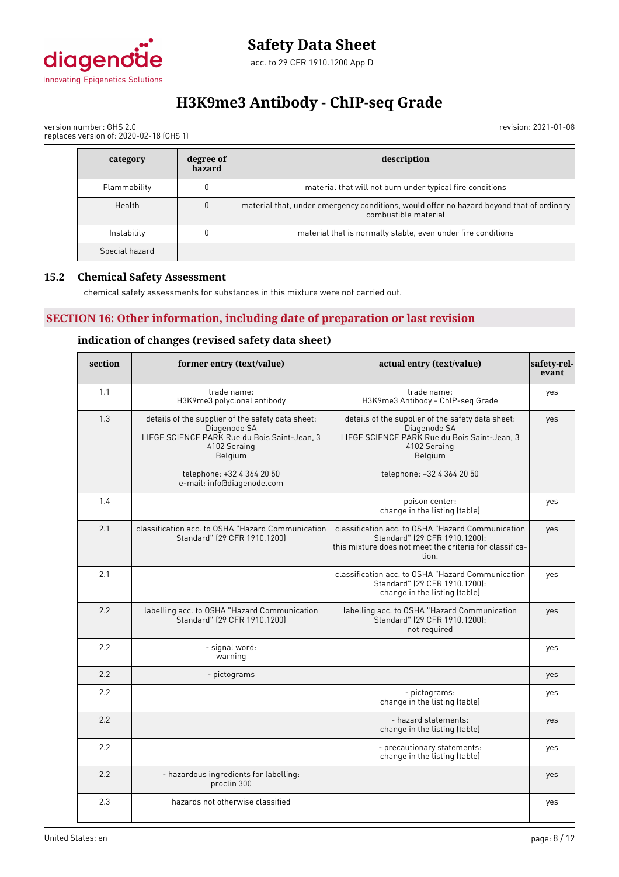

revision: 2021-01-08

version number: GHS 2.0 replaces version of: 2020-02-18 (GHS 1)

| category       | degree of<br>hazard | description                                                                                                      |
|----------------|---------------------|------------------------------------------------------------------------------------------------------------------|
| Flammability   |                     | material that will not burn under typical fire conditions                                                        |
| Health         | 0                   | material that, under emergency conditions, would offer no hazard beyond that of ordinary<br>combustible material |
| Instability    |                     | material that is normally stable, even under fire conditions                                                     |
| Special hazard |                     |                                                                                                                  |

### **15.2 Chemical Safety Assessment**

chemical safety assessments for substances in this mixture were not carried out.

# **SECTION 16: Other information, including date of preparation or last revision**

# **indication of changes (revised safety data sheet)**

| section | former entry (text/value)                                                                                                                                                                                | actual entry (text/value)                                                                                                                                                  | safety-rel-<br>evant |
|---------|----------------------------------------------------------------------------------------------------------------------------------------------------------------------------------------------------------|----------------------------------------------------------------------------------------------------------------------------------------------------------------------------|----------------------|
| 1.1     | trade name:<br>H3K9me3 polyclonal antibody                                                                                                                                                               | trade name:<br>H3K9me3 Antibody - ChIP-seq Grade                                                                                                                           | yes                  |
| 1.3     | details of the supplier of the safety data sheet:<br>Diagenode SA<br>LIEGE SCIENCE PARK Rue du Bois Saint-Jean, 3<br>4102 Seraing<br>Belgium<br>telephone: +32 4 364 20 50<br>e-mail: info@diagenode.com | details of the supplier of the safety data sheet:<br>Diagenode SA<br>LIEGE SCIENCE PARK Rue du Bois Saint-Jean, 3<br>4102 Seraing<br>Belgium<br>telephone: +32 4 364 20 50 | yes                  |
| 1.4     |                                                                                                                                                                                                          | poison center:<br>change in the listing (table)                                                                                                                            | yes                  |
| 2.1     | classification acc. to OSHA "Hazard Communication<br>Standard" (29 CFR 1910.1200)                                                                                                                        | classification acc. to OSHA "Hazard Communication<br>Standard" (29 CFR 1910.1200):<br>this mixture does not meet the criteria for classifica-<br>tion                      | yes                  |
| 2.1     |                                                                                                                                                                                                          | classification acc. to OSHA "Hazard Communication<br>Standard" (29 CFR 1910.1200):<br>change in the listing (table)                                                        | yes                  |
| 2.2     | labelling acc. to OSHA "Hazard Communication<br>Standard" (29 CFR 1910.1200)                                                                                                                             | labelling acc. to OSHA "Hazard Communication<br>Standard" (29 CFR 1910.1200):<br>not required                                                                              | yes                  |
| 2.2     | - signal word:<br>warning                                                                                                                                                                                |                                                                                                                                                                            | yes                  |
| 2.2     | - pictograms                                                                                                                                                                                             |                                                                                                                                                                            | yes                  |
| 2.2     |                                                                                                                                                                                                          | - pictograms:<br>change in the listing (table)                                                                                                                             | yes                  |
| 2.2     |                                                                                                                                                                                                          | - hazard statements:<br>change in the listing (table)                                                                                                                      | yes                  |
| 2.2     |                                                                                                                                                                                                          | - precautionary statements:<br>change in the listing (table)                                                                                                               | yes                  |
| 2.2     | - hazardous ingredients for labelling:<br>proclin 300                                                                                                                                                    |                                                                                                                                                                            | yes                  |
| 2.3     | hazards not otherwise classified                                                                                                                                                                         |                                                                                                                                                                            | yes                  |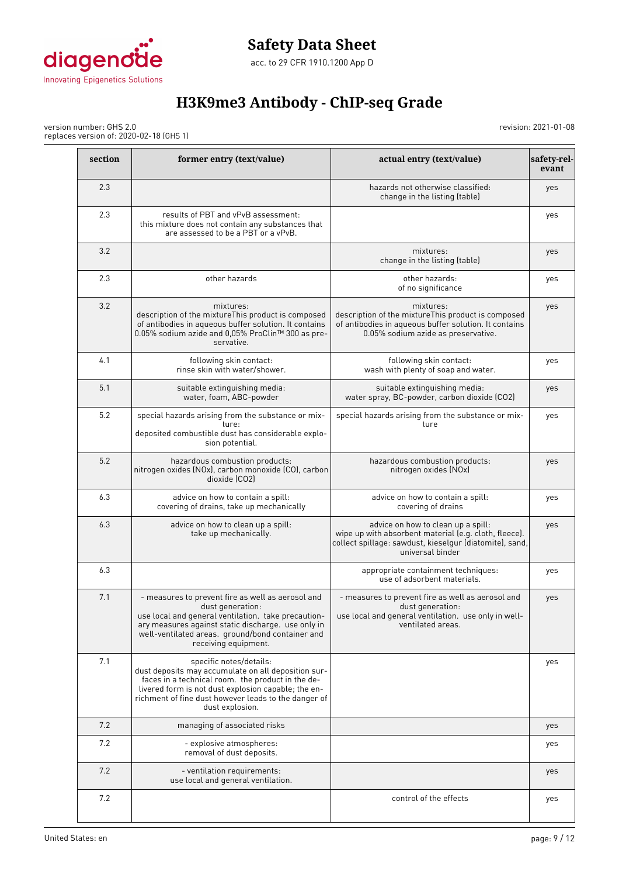

# **Safety Data Sheet**

acc. to 29 CFR 1910.1200 App D

# **H3K9me3 Antibody - ChIP-seq Grade**

version number: GHS 2.0 replaces version of: 2020-02-18 (GHS 1) revision: 2021-01-08

| section | former entry (text/value)                                                                                                                                                                                                                                             | actual entry (text/value)                                                                                                                                                  | safety-rel-<br>evant |
|---------|-----------------------------------------------------------------------------------------------------------------------------------------------------------------------------------------------------------------------------------------------------------------------|----------------------------------------------------------------------------------------------------------------------------------------------------------------------------|----------------------|
| 2.3     |                                                                                                                                                                                                                                                                       | hazards not otherwise classified:<br>change in the listing (table)                                                                                                         | yes                  |
| 2.3     | results of PBT and vPvB assessment:<br>this mixture does not contain any substances that<br>are assessed to be a PBT or a vPvB.                                                                                                                                       |                                                                                                                                                                            | yes                  |
| 3.2     |                                                                                                                                                                                                                                                                       | mixtures:<br>change in the listing (table)                                                                                                                                 | yes                  |
| 2.3     | other hazards                                                                                                                                                                                                                                                         | other hazards:<br>of no significance                                                                                                                                       | yes                  |
| 3.2     | mixtures:<br>description of the mixtureThis product is composed<br>of antibodies in aqueous buffer solution. It contains<br>0.05% sodium azide and 0,05% ProClin™ 300 as pre-<br>servative.                                                                           | mixtures:<br>description of the mixtureThis product is composed<br>of antibodies in aqueous buffer solution. It contains<br>0.05% sodium azide as preservative.            | yes                  |
| 4.1     | following skin contact:<br>rinse skin with water/shower.                                                                                                                                                                                                              | following skin contact:<br>wash with plenty of soap and water.                                                                                                             | yes                  |
| 5.1     | suitable extinguishing media:<br>water, foam, ABC-powder                                                                                                                                                                                                              | suitable extinguishing media:<br>water spray, BC-powder, carbon dioxide (CO2)                                                                                              | yes                  |
| 5.2     | special hazards arising from the substance or mix-<br>ture:<br>deposited combustible dust has considerable explo-<br>sion potential.                                                                                                                                  | special hazards arising from the substance or mix-<br>ture                                                                                                                 | yes                  |
| 5.2     | hazardous combustion products:<br>nitrogen oxides (NOx), carbon monoxide (CO), carbon<br>dioxide (CO2)                                                                                                                                                                | hazardous combustion products:<br>nitrogen oxides (NOx)                                                                                                                    | yes                  |
| 6.3     | advice on how to contain a spill:<br>covering of drains, take up mechanically                                                                                                                                                                                         | advice on how to contain a spill:<br>covering of drains                                                                                                                    | yes                  |
| 6.3     | advice on how to clean up a spill:<br>take up mechanically.                                                                                                                                                                                                           | advice on how to clean up a spill:<br>wipe up with absorbent material (e.g. cloth, fleece).<br>collect spillage: sawdust, kieselgur (diatomite), sand,<br>universal binder | yes                  |
| 6.3     |                                                                                                                                                                                                                                                                       | appropriate containment techniques:<br>use of adsorbent materials.                                                                                                         | yes                  |
| 7.1     | - measures to prevent fire as well as aerosol and<br>dust generation:<br>use local and general ventilation. take precaution-<br>ary measures against static discharge. use only in<br>well-ventilated areas. ground/bond container and<br>receiving equipment.        | - measures to prevent fire as well as aerosol and<br>dust generation:<br>use local and general ventilation. use only in well-<br>ventilated areas.                         | yes                  |
| 7.1     | specific notes/details:<br>dust deposits may accumulate on all deposition sur-<br>faces in a technical room. the product in the de-<br>livered form is not dust explosion capable; the en-<br>richment of fine dust however leads to the danger of<br>dust explosion. |                                                                                                                                                                            | yes                  |
| 7.2     | managing of associated risks                                                                                                                                                                                                                                          |                                                                                                                                                                            | yes                  |
| 7.2     | - explosive atmospheres:<br>removal of dust deposits.                                                                                                                                                                                                                 |                                                                                                                                                                            | yes                  |
| 7.2     | - ventilation requirements:<br>use local and general ventilation.                                                                                                                                                                                                     |                                                                                                                                                                            | yes                  |
| 7.2     |                                                                                                                                                                                                                                                                       | control of the effects                                                                                                                                                     | yes                  |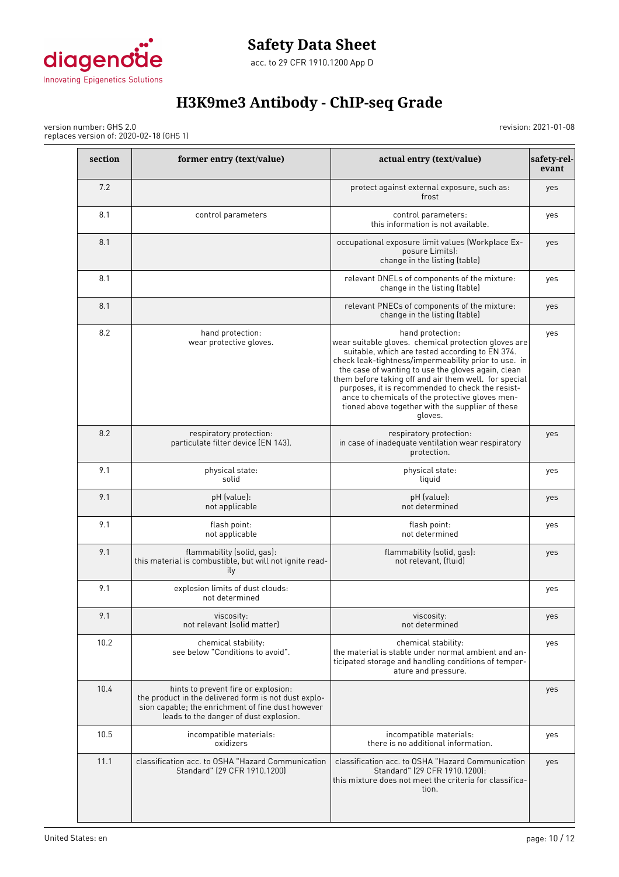

# **Safety Data Sheet**

acc. to 29 CFR 1910.1200 App D

# **H3K9me3 Antibody - ChIP-seq Grade**

revision: 2021-01-08

version number: GHS 2.0 replaces version of: 2020-02-18 (GHS 1)

| section | former entry (text/value)                                                                                                                                                                  | actual entry (text/value)                                                                                                                                                                                                                                                                                                                                                                                                                                                | safety-rel-<br>evant |
|---------|--------------------------------------------------------------------------------------------------------------------------------------------------------------------------------------------|--------------------------------------------------------------------------------------------------------------------------------------------------------------------------------------------------------------------------------------------------------------------------------------------------------------------------------------------------------------------------------------------------------------------------------------------------------------------------|----------------------|
| 7.2     |                                                                                                                                                                                            | protect against external exposure, such as:<br>frost                                                                                                                                                                                                                                                                                                                                                                                                                     | yes                  |
| 8.1     | control parameters                                                                                                                                                                         | control parameters:<br>this information is not available.                                                                                                                                                                                                                                                                                                                                                                                                                | yes                  |
| 8.1     |                                                                                                                                                                                            | occupational exposure limit values (Workplace Ex-<br>posure Limits):<br>change in the listing (table)                                                                                                                                                                                                                                                                                                                                                                    | yes                  |
| 8.1     |                                                                                                                                                                                            | relevant DNELs of components of the mixture:<br>change in the listing (table)                                                                                                                                                                                                                                                                                                                                                                                            | yes                  |
| 8.1     |                                                                                                                                                                                            | relevant PNECs of components of the mixture:<br>change in the listing (table)                                                                                                                                                                                                                                                                                                                                                                                            | yes                  |
| 8.2     | hand protection:<br>wear protective gloves.                                                                                                                                                | hand protection:<br>wear suitable gloves. chemical protection gloves are<br>suitable, which are tested according to EN 374.<br>check leak-tightness/impermeability prior to use. in<br>the case of wanting to use the gloves again, clean<br>them before taking off and air them well. for special<br>purposes, it is recommended to check the resist-<br>ance to chemicals of the protective gloves men-<br>tioned above together with the supplier of these<br>gloves. | yes                  |
| 8.2     | respiratory protection:<br>particulate filter device (EN 143).                                                                                                                             | respiratory protection:<br>in case of inadequate ventilation wear respiratory<br>protection.                                                                                                                                                                                                                                                                                                                                                                             | yes                  |
| 9.1     | physical state:<br>solid                                                                                                                                                                   | physical state:<br>liquid                                                                                                                                                                                                                                                                                                                                                                                                                                                | yes                  |
| 9.1     | pH (value):<br>not applicable                                                                                                                                                              | pH (value):<br>not determined                                                                                                                                                                                                                                                                                                                                                                                                                                            | yes                  |
| 9.1     | flash point:<br>not applicable                                                                                                                                                             | flash point:<br>not determined                                                                                                                                                                                                                                                                                                                                                                                                                                           | yes                  |
| 9.1     | flammability (solid, gas):<br>this material is combustible, but will not ignite read-<br>ily                                                                                               | flammability (solid, gas):<br>not relevant, (fluid)                                                                                                                                                                                                                                                                                                                                                                                                                      | yes                  |
| 9.1     | explosion limits of dust clouds:<br>not determined                                                                                                                                         |                                                                                                                                                                                                                                                                                                                                                                                                                                                                          | yes                  |
| 9.1     | viscosity:<br>not relevant (solid matter)                                                                                                                                                  | viscosity:<br>not determined                                                                                                                                                                                                                                                                                                                                                                                                                                             | yes                  |
| 10.2    | chemical stability:<br>see below "Conditions to avoid".                                                                                                                                    | chemical stability:<br>the material is stable under normal ambient and an-<br>ticipated storage and handling conditions of temper-<br>ature and pressure.                                                                                                                                                                                                                                                                                                                | yes                  |
| 10.4    | hints to prevent fire or explosion:<br>the product in the delivered form is not dust explo-<br>sion capable; the enrichment of fine dust however<br>leads to the danger of dust explosion. |                                                                                                                                                                                                                                                                                                                                                                                                                                                                          | yes                  |
| 10.5    | incompatible materials:<br>oxidizers                                                                                                                                                       | incompatible materials:<br>there is no additional information.                                                                                                                                                                                                                                                                                                                                                                                                           | yes                  |
| 11.1    | classification acc. to OSHA "Hazard Communication<br>Standard" (29 CFR 1910.1200)                                                                                                          | classification acc. to OSHA "Hazard Communication<br>Standard" (29 CFR 1910.1200):<br>this mixture does not meet the criteria for classifica-<br>tion.                                                                                                                                                                                                                                                                                                                   | yes                  |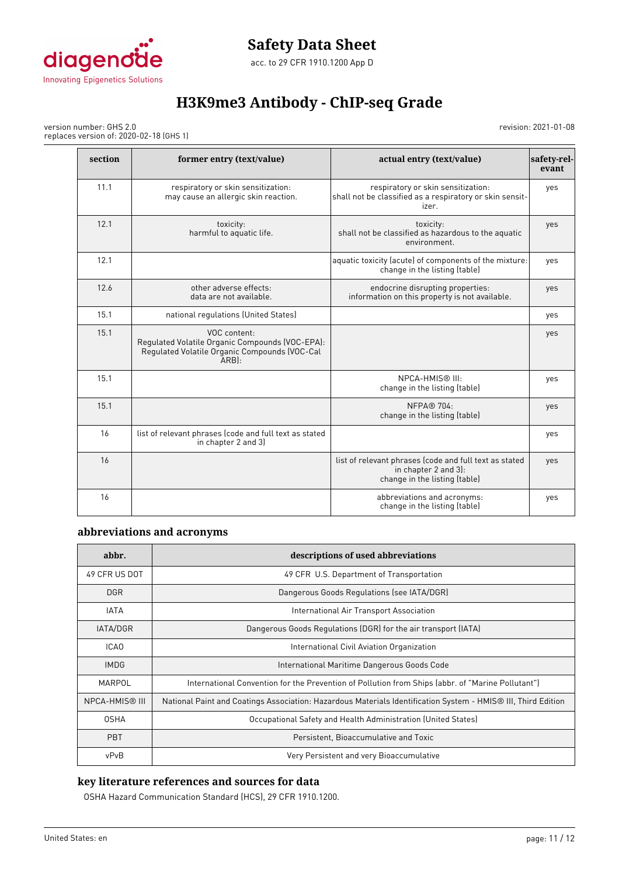

revision: 2021-01-08

version number: GHS 2.0 replaces version of: 2020-02-18 (GHS 1)

| section | former entry (text/value)                                                                                                | actual entry (text/value)                                                                                       | safety-rel-<br>evant |
|---------|--------------------------------------------------------------------------------------------------------------------------|-----------------------------------------------------------------------------------------------------------------|----------------------|
| 11.1    | respiratory or skin sensitization:<br>may cause an allergic skin reaction.                                               | respiratory or skin sensitization:<br>shall not be classified as a respiratory or skin sensit-<br>izer.         | yes                  |
| 12.1    | toxicity:<br>harmful to aquatic life.                                                                                    | toxicity:<br>shall not be classified as hazardous to the aquatic<br>environment.                                | yes                  |
| 12.1    |                                                                                                                          | aquatic toxicity (acute) of components of the mixture:<br>change in the listing (table)                         | yes                  |
| 12.6    | other adverse effects:<br>data are not available.                                                                        | endocrine disrupting properties:<br>information on this property is not available.                              | yes                  |
| 15.1    | national regulations (United States)                                                                                     |                                                                                                                 | yes                  |
| 15.1    | VOC content:<br>Regulated Volatile Organic Compounds (VOC-EPA):<br>Regulated Volatile Organic Compounds (VOC-Cal<br>ARB: |                                                                                                                 | yes                  |
| 15.1    |                                                                                                                          | NPCA-HMIS® III:<br>change in the listing (table)                                                                | yes                  |
| 15.1    |                                                                                                                          | <b>NFPA® 704:</b><br>change in the listing (table)                                                              | yes                  |
| 16      | list of relevant phrases (code and full text as stated<br>in chapter 2 and 3)                                            |                                                                                                                 | yes                  |
| 16      |                                                                                                                          | list of relevant phrases (code and full text as stated<br>in chapter 2 and 3):<br>change in the listing (table) | yes                  |
| 16      |                                                                                                                          | abbreviations and acronyms:<br>change in the listing (table)                                                    | yes                  |

### **abbreviations and acronyms**

| abbr.                 | descriptions of used abbreviations                                                                            |
|-----------------------|---------------------------------------------------------------------------------------------------------------|
| 49 CFR US DOT         | 49 CFR U.S. Department of Transportation                                                                      |
| DGR                   | Dangerous Goods Regulations (see IATA/DGR)                                                                    |
| <b>IATA</b>           | International Air Transport Association                                                                       |
| IATA/DGR              | Dangerous Goods Regulations (DGR) for the air transport (IATA)                                                |
| ICA <sub>0</sub>      | International Civil Aviation Organization                                                                     |
| <b>IMDG</b>           | International Maritime Dangerous Goods Code                                                                   |
| MARPOL                | International Convention for the Prevention of Pollution from Ships (abbr. of "Marine Pollutant")             |
| <b>NPCA-HMIS® III</b> | National Paint and Coatings Association: Hazardous Materials Identification System - HMIS® III, Third Edition |
| <b>OSHA</b>           | Occupational Safety and Health Administration (United States)                                                 |
| <b>PBT</b>            | Persistent, Bioaccumulative and Toxic                                                                         |
| vPvB                  | Very Persistent and very Bioaccumulative                                                                      |

# **key literature references and sources for data**

OSHA Hazard Communication Standard (HCS), 29 CFR 1910.1200.